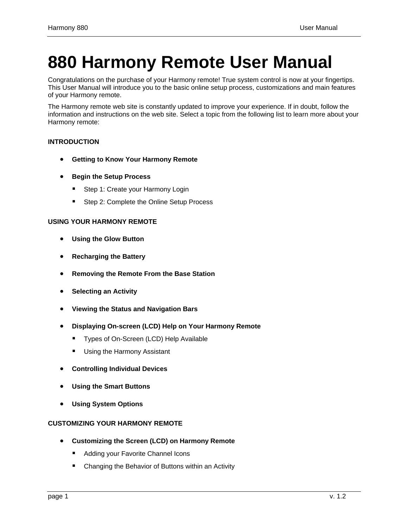# <span id="page-0-0"></span>**880 Harmony Remote User Manual**

Congratulations on the purchase of your Harmony remote! True system control is now at your fingertips. This User Manual will introduce you to the basic online setup process, customizations and main features of your Harmony remote.

The Harmony remote web site is constantly updated to improve your experience. If in doubt, follow the information and instructions on the web site. Select a topic from the following list to learn more about your Harmony remote:

## **[INTRODUCTION](#page-2-0)**

- **[Getting to Know Your Harmony Remote](#page-3-0)**
- **[Begin the Setup Process](#page-4-0)**
	- **[Step 1: Create your Harmony Login](#page-4-0)**
	- **[Step 2: Complete the Online Setup Process](#page-4-0)**

## **[USING YOUR HARMONY REMOTE](#page-5-0)**

- **[Using the Glow Button](#page-5-0)**
- **[Recharging the Battery](#page-5-0)**
- **[Removing the Remote From the Base Station](#page-5-0)**
- **[Selecting an Activity](#page-6-0)**
- **[Viewing the Status and Navigation Bars](#page-6-0)**
- **[Displaying On-screen \(LCD\) Help on Your Harmony Remote](#page-6-0)**
	- [Types of On-Screen \(LCD\) Help Available](#page-7-0)
	- **[Using the Harmony Assistant](#page-8-0)**
- **[Controlling Individual Devices](#page-8-0)**
- **[Using the Smart Buttons](#page-8-0)**
- **[Using System Options](#page-8-0)**

## **[CUSTOMIZING YOUR HARMONY REMOTE](#page-9-0)**

- **[Customizing the Screen \(LCD\) on Harmony Remote](#page-10-0)**
	- [Adding your Favorite Channel Icons](#page-10-0)
	- [Changing the Behavior of Buttons within an Activity](#page-10-0)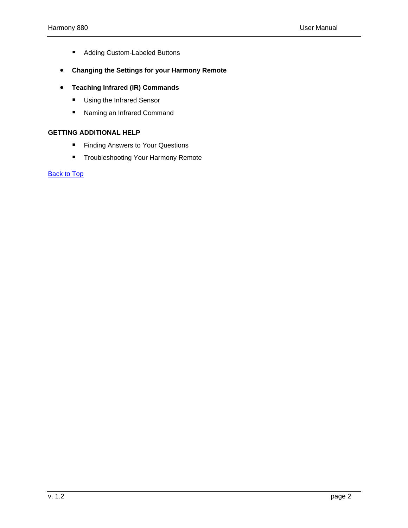- [Adding Custom-Labeled Buttons](#page-11-0)
- **[Changing the Settings for your Harmony Remote](#page-12-0)**
- **[Teaching Infrared \(IR\) Commands](#page-12-0)**
	- **[Using the Infrared Sensor](#page-13-0)**
	- [Naming an Infrared Command](#page-13-0)

## **[GETTING ADDITIONAL HELP](#page-14-0)**

- **[Finding Answers to Your Questions](#page-14-0)**
- **[Troubleshooting Your Harmony Remote](#page-14-0)**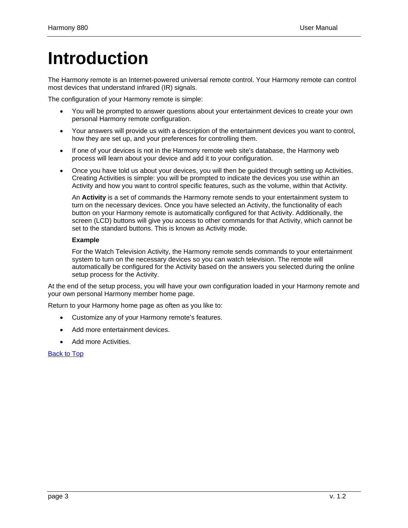# <span id="page-2-0"></span>**Introduction**

The Harmony remote is an Internet-powered universal remote control. Your Harmony remote can control most devices that understand infrared (IR) signals.

The configuration of your Harmony remote is simple:

- You will be prompted to answer questions about your entertainment devices to create your own personal Harmony remote configuration.
- Your answers will provide us with a description of the entertainment devices you want to control, how they are set up, and your preferences for controlling them.
- If one of your devices is not in the Harmony remote web site's database, the Harmony web process will learn about your device and add it to your configuration.
- Once you have told us about your devices, you will then be guided through setting up Activities. Creating Activities is simple: you will be prompted to indicate the devices you use within an Activity and how you want to control specific features, such as the volume, within that Activity.

An **Activity** is a set of commands the Harmony remote sends to your entertainment system to turn on the necessary devices. Once you have selected an Activity, the functionality of each button on your Harmony remote is automatically configured for that Activity. Additionally, the screen (LCD) buttons will give you access to other commands for that Activity, which cannot be set to the standard buttons. This is known as Activity mode.

### **Example**

For the Watch Television Activity, the Harmony remote sends commands to your entertainment system to turn on the necessary devices so you can watch television. The remote will automatically be configured for the Activity based on the answers you selected during the online setup process for the Activity.

At the end of the setup process, you will have your own configuration loaded in your Harmony remote and your own personal Harmony member home page.

Return to your Harmony home page as often as you like to:

- Customize any of your Harmony remote's features.
- Add more entertainment devices.
- Add more Activities.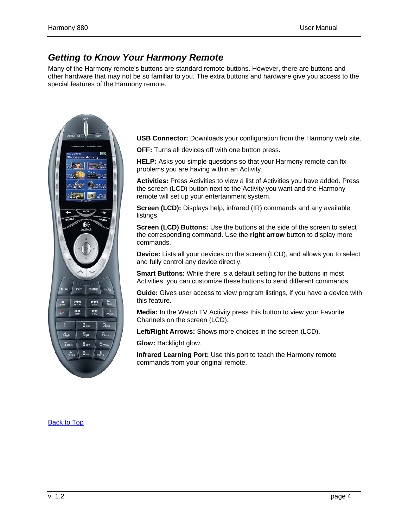# <span id="page-3-0"></span>*Getting to Know Your Harmony Remote*

Many of the Harmony remote's buttons are standard remote buttons. However, there are buttons and other hardware that may not be so familiar to you. The extra buttons and hardware give you access to the special features of the Harmony remote.



**USB Connector:** Downloads your configuration from the Harmony web site.

**OFF:** Turns all devices off with one button press.

**HELP:** Asks you simple questions so that your Harmony remote can fix problems you are having within an Activity.

**Activities:** Press Activities to view a list of Activities you have added. Press the screen (LCD) button next to the Activity you want and the Harmony remote will set up your entertainment system.

**Screen (LCD):** Displays help, infrared (IR) commands and any available listings.

**Screen (LCD) Buttons:** Use the buttons at the side of the screen to select the corresponding command. Use the **right arrow** button to display more commands.

**Device:** Lists all your devices on the screen (LCD), and allows you to select and fully control any device directly.

**Smart Buttons:** While there is a default setting for the buttons in most Activities, you can customize these buttons to send different commands.

**Guide:** Gives user access to view program listings, if you have a device with this feature.

**Media:** In the Watch TV Activity press this button to view your Favorite Channels on the screen (LCD).

**Left/Right Arrows:** Shows more choices in the screen (LCD).

**Glow:** Backlight glow.

**Infrared Learning Port:** Use this port to teach the Harmony remote commands from your original remote.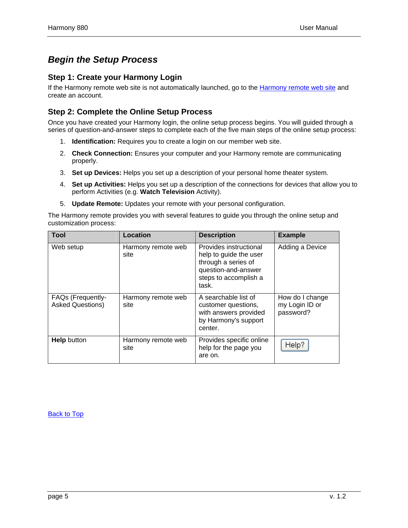# <span id="page-4-0"></span>*Begin the Setup Process*

## **Step 1: Create your Harmony Login**

If the [Harmony remote web site](http://www.logitech.com/index.cfm/products/features/harmony/ca/en,CRID=2078?ad=hmf) is not automatically launched, go to the **Harmony remote web site** and create an account.

# **Step 2: Complete the Online Setup Process**

Once you have created your Harmony login, the online setup process begins. You will guided through a series of question-and-answer steps to complete each of the five main steps of the online setup process:

- 1. **Identification:** Requires you to create a login on our member web site.
- 2. **Check Connection:** Ensures your computer and your Harmony remote are communicating properly.
- 3. **Set up Devices:** Helps you set up a description of your personal home theater system.
- 4. **Set up Activities:** Helps you set up a description of the connections for devices that allow you to perform Activities (e.g. **Watch Television** Activity).
- 5. **Update Remote:** Updates your remote with your personal configuration.

The Harmony remote provides you with several features to guide you through the online setup and customization process:

| <b>Tool</b>                                         | Location                   | <b>Description</b>                                                                                                               | <b>Example</b>                                 |
|-----------------------------------------------------|----------------------------|----------------------------------------------------------------------------------------------------------------------------------|------------------------------------------------|
| Web setup                                           | Harmony remote web<br>site | Provides instructional<br>help to guide the user<br>through a series of<br>question-and-answer<br>steps to accomplish a<br>task. | Adding a Device                                |
| <b>FAQs (Frequently-</b><br><b>Asked Questions)</b> | Harmony remote web<br>site | A searchable list of<br>customer questions,<br>with answers provided<br>by Harmony's support<br>center.                          | How do I change<br>my Login ID or<br>password? |
| <b>Help</b> button                                  | Harmony remote web<br>site | Provides specific online<br>help for the page you<br>are on.                                                                     | Help?                                          |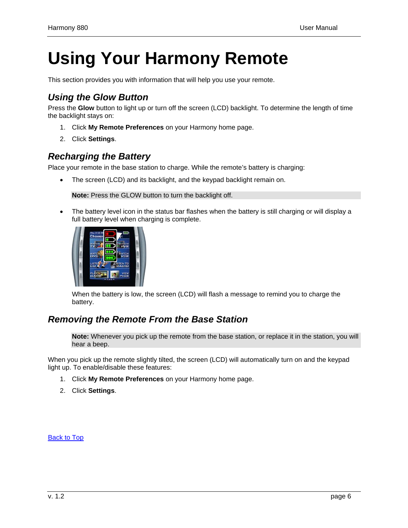# <span id="page-5-0"></span>**Using Your Harmony Remote**

This section provides you with information that will help you use your remote.

# *Using the Glow Button*

Press the **Glow** button to light up or turn off the screen (LCD) backlight. To determine the length of time the backlight stays on:

- 1. Click **My Remote Preferences** on your Harmony home page.
- 2. Click **Settings**.

# *Recharging the Battery*

Place your remote in the base station to charge. While the remote's battery is charging:

• The screen (LCD) and its backlight, and the keypad backlight remain on.

**Note:** Press the GLOW button to turn the backlight off.

• The battery level icon in the status bar flashes when the battery is still charging or will display a full battery level when charging is complete.



When the battery is low, the screen (LCD) will flash a message to remind you to charge the battery.

# *Removing the Remote From the Base Station*

**Note:** Whenever you pick up the remote from the base station, or replace it in the station, you will hear a beep.

When you pick up the remote slightly tilted, the screen (LCD) will automatically turn on and the keypad light up. To enable/disable these features:

- 1. Click **My Remote Preferences** on your Harmony home page.
- 2. Click **Settings**.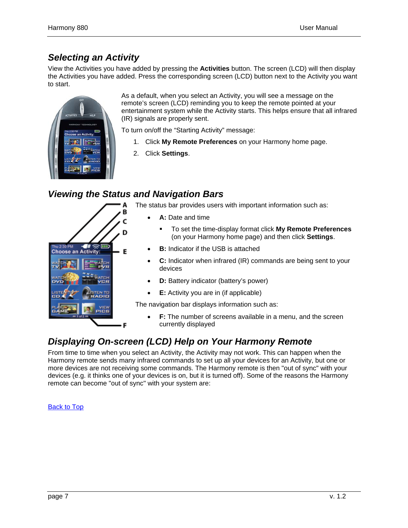# <span id="page-6-0"></span>*Selecting an Activity*

View the Activities you have added by pressing the **Activities** button. The screen (LCD) will then display the Activities you have added. Press the corresponding screen (LCD) button next to the Activity you want to start.



As a default, when you select an Activity, you will see a message on the remote's screen (LCD) reminding you to keep the remote pointed at your entertainment system while the Activity starts. This helps ensure that all infrared (IR) signals are properly sent.

To turn on/off the "Starting Activity" message:

- 1. Click **My Remote Preferences** on your Harmony home page.
- 2. Click **Settings**.

# *Viewing the Status and Navigation Bars*



The status bar provides users with important information such as:

- **A:** Date and time
	- To set the time-display format click **My Remote Preferences**  (on your Harmony home page) and then click **Settings**.
- **B:** Indicator if the USB is attached
- **C:** Indicator when infrared (IR) commands are being sent to your devices
- **D:** Battery indicator (battery's power)
- **E:** Activity you are in (if applicable)

The navigation bar displays information such as:

**F:** The number of screens available in a menu, and the screen currently displayed

# *Displaying On-screen (LCD) Help on Your Harmony Remote*

From time to time when you select an Activity, the Activity may not work. This can happen when the Harmony remote sends many infrared commands to set up all your devices for an Activity, but one or more devices are not receiving some commands. The Harmony remote is then "out of sync" with your devices (e.g. it thinks one of your devices is on, but it is turned off). Some of the reasons the Harmony remote can become "out of sync" with your system are: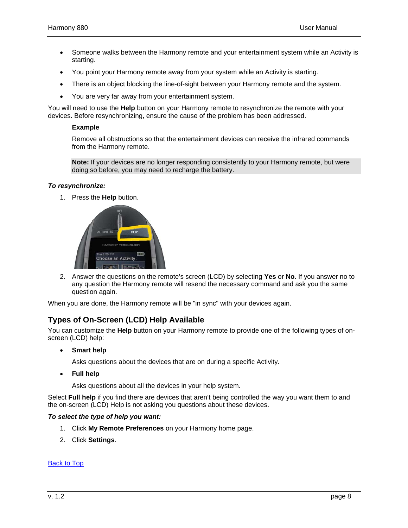- <span id="page-7-0"></span>• Someone walks between the Harmony remote and your entertainment system while an Activity is starting.
- You point your Harmony remote away from your system while an Activity is starting.
- There is an object blocking the line-of-sight between your Harmony remote and the system.
- You are very far away from your entertainment system.

You will need to use the **Help** button on your Harmony remote to resynchronize the remote with your devices. Before resynchronizing, ensure the cause of the problem has been addressed.

#### **Example**

Remove all obstructions so that the entertainment devices can receive the infrared commands from the Harmony remote.

**Note:** If your devices are no longer responding consistently to your Harmony remote, but were doing so before, you may need to recharge the battery.

#### *To resynchronize:*

1. Press the **Help** button.



2. Answer the questions on the remote's screen (LCD) by selecting **Yes** or **No**. If you answer no to any question the Harmony remote will resend the necessary command and ask you the same question again.

When you are done, the Harmony remote will be "in sync" with your devices again.

## **Types of On-Screen (LCD) Help Available**

You can customize the **Help** button on your Harmony remote to provide one of the following types of onscreen (LCD) help:

• **Smart help** 

Asks questions about the devices that are on during a specific Activity.

• **Full help** 

Asks questions about all the devices in your help system.

Select **Full help** if you find there are devices that aren't being controlled the way you want them to and the on-screen (LCD) Help is not asking you questions about these devices.

#### *To select the type of help you want:*

- 1. Click **My Remote Preferences** on your Harmony home page.
- 2. Click **Settings**.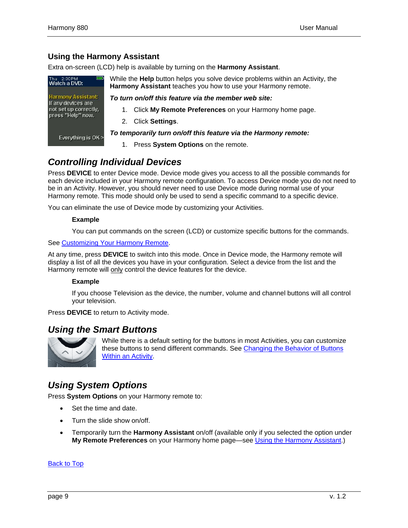# <span id="page-8-0"></span>**Using the Harmony Assistant**

Extra on-screen (LCD) help is available by turning on the **Harmony Assistant**.



While the **Help** button helps you solve device problems within an Activity, the **Harmony Assistant** teaches you how to use your Harmony remote.

*To turn on/off this feature via the member web site:* 

- 1. Click **My Remote Preferences** on your Harmony home page.
- 2. Click **Settings**.

## *To temporarily turn on/off this feature via the Harmony remote:*

1. Press **System Options** on the remote.

# *Controlling Individual Devices*

Press **DEVICE** to enter Device mode. Device mode gives you access to all the possible commands for each device included in your Harmony remote configuration. To access Device mode you do not need to be in an Activity. However, you should never need to use Device mode during normal use of your Harmony remote. This mode should only be used to send a specific command to a specific device.

You can eliminate the use of Device mode by customizing your Activities.

### **Example**

You can put commands on the screen (LCD) or customize specific buttons for the commands.

### See [Customizing Your Harmony Remote](#page-9-0).

At any time, press **DEVICE** to switch into this mode. Once in Device mode, the Harmony remote will display a list of all the devices you have in your configuration. Select a device from the list and the Harmony remote will only control the device features for the device.

#### **Example**

If you choose Television as the device, the number, volume and channel buttons will all control your television.

Press **DEVICE** to return to Activity mode.

# *Using the Smart Buttons*



While there is a default setting for the buttons in most Activities, you can customize these buttons to send different commands. See [Changing the Behavior of Buttons](#page-10-0)  [Within an Activity](#page-10-0).

# *Using System Options*

Press **System Options** on your Harmony remote to:

- Set the time and date.
- Turn the slide show on/off.
- Temporarily turn the **Harmony Assistant** on/off (available only if you selected the option under **My Remote Preferences** on your Harmony home page—see [Using the Harmony Assistant](#page-8-0).)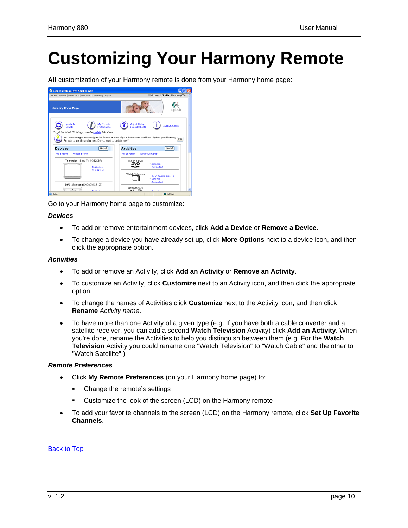# <span id="page-9-0"></span>**Customizing Your Harmony Remote**

**All** customization of your Harmony remote is done from your Harmony home page:



Go to your Harmony home page to customize:

## *Devices*

- To add or remove entertainment devices, click **Add a Device** or **Remove a Device**.
- To change a device you have already set up, click **More Options** next to a device icon, and then click the appropriate option.

## *Activities*

- To add or remove an Activity, click **Add an Activity** or **Remove an Activity**.
- To customize an Activity, click **Customize** next to an Activity icon, and then click the appropriate option.
- To change the names of Activities click **Customize** next to the Activity icon, and then click **Rename** *Activity name*.
- To have more than one Activity of a given type (e.g. If you have both a cable converter and a satellite receiver, you can add a second **Watch Television** Activity) click **Add an Activity**. When you're done, rename the Activities to help you distinguish between them (e.g. For the **Watch Television** Activity you could rename one "Watch Television" to "Watch Cable" and the other to "Watch Satellite".)

## *Remote Preferences*

- Click **My Remote Preferences** (on your Harmony home page) to:
	- Change the remote's settings
	- **Customize the look of the screen (LCD) on the Harmony remote**
- To add your favorite channels to the screen (LCD) on the Harmony remote, click **Set Up Favorite Channels**.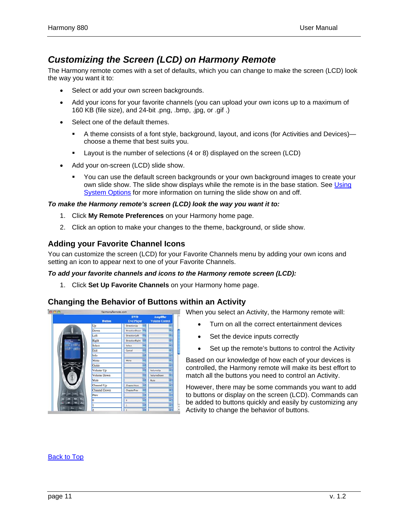# <span id="page-10-0"></span>*Customizing the Screen (LCD) on Harmony Remote*

The Harmony remote comes with a set of defaults, which you can change to make the screen (LCD) look the way you want it to:

- Select or add your own screen backgrounds.
- Add your icons for your favorite channels (you can upload your own icons up to a maximum of 160 KB (file size), and 24-bit .png, .bmp, .jpg, or .gif .)
- Select one of the default themes.
	- A theme consists of a font style, background, layout, and icons (for Activities and Devices) choose a theme that best suits you.
	- Layout is the number of selections (4 or 8) displayed on the screen (LCD)
- Add your on-screen (LCD) slide show.
	- You can use the default screen backgrounds or your own background images to create your own slide show. The slide show displays while the remote is in the base station. See [Using](#page-8-0)  [System Options](#page-8-0) for more information on turning the slide show on and off.

### *To make the Harmony remote's screen (LCD) look the way you want it to:*

- 1. Click **My Remote Preferences** on your Harmony home page.
- 2. Click an option to make your changes to the theme, background, or slide show.

## **Adding your Favorite Channel Icons**

You can customize the screen (LCD) for your Favorite Channels menu by adding your own icons and setting an icon to appear next to one of your Favorite Channels.

## *To add your favorite channels and icons to the Harmony remote screen (LCD):*

1. Click **Set Up Favorite Channels** on your Harmony home page.

## **Changing the Behavior of Buttons within an Activity**



When you select an Activity, the Harmony remote will:

- Turn on all the correct entertainment devices
- Set the device inputs correctly
- Set up the remote's buttons to control the Activity

Based on our knowledge of how each of your devices is controlled, the Harmony remote will make its best effort to match all the buttons you need to control an Activity.

However, there may be some commands you want to add to buttons or display on the screen (LCD). Commands can be added to buttons quickly and easily by customizing any Activity to change the behavior of buttons.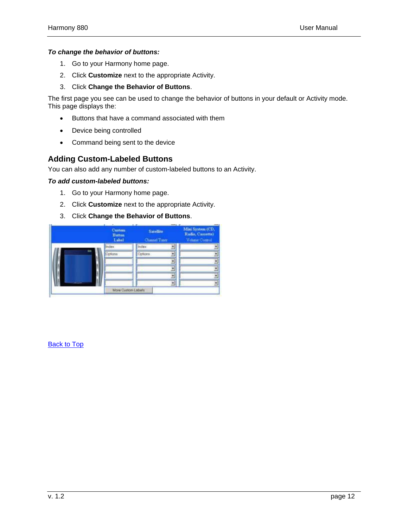### <span id="page-11-0"></span>*To change the behavior of buttons:*

- 1. Go to your Harmony home page.
- 2. Click **Customize** next to the appropriate Activity.
- 3. Click **Change the Behavior of Buttons**.

The first page you see can be used to change the behavior of buttons in your default or Activity mode. This page displays the:

- Buttons that have a command associated with them
- Device being controlled
- Command being sent to the device

## **Adding Custom-Labeled Buttons**

You can also add any number of custom-labeled buttons to an Activity.

#### *To add custom-labeled buttons:*

- 1. Go to your Harmony home page.
- 2. Click **Customize** next to the appropriate Activity.
- 3. Click **Change the Behavior of Buttons**.

|          | Custom<br><b>Button</b><br>Label | . .<br><b>Satelline</b><br>Channel Tuner | --<br>Mini System (CD,<br>Radio, Cassette)<br>Volume Control |
|----------|----------------------------------|------------------------------------------|--------------------------------------------------------------|
|          | <b>Index</b>                     | Index<br>ы                               | $\cdot$                                                      |
| m        | Options                          | 회<br>Options                             | $\frac{1}{2}$                                                |
|          |                                  | ٠                                        |                                                              |
|          |                                  | 회                                        | ž                                                            |
|          |                                  | E                                        | ¥                                                            |
| Acres 64 |                                  | ¥                                        | $\bullet$                                                    |
|          | More Custom Lebels               |                                          |                                                              |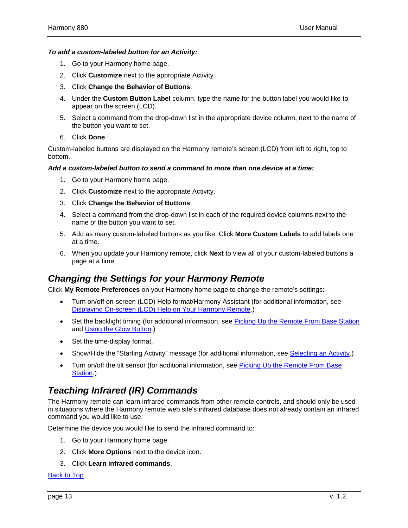## <span id="page-12-0"></span>*To add a custom-labeled button for an Activity:*

- 1. Go to your Harmony home page.
- 2. Click **Customize** next to the appropriate Activity.
- 3. Click **Change the Behavior of Buttons**.
- 4. Under the **Custom Button Label** column, type the name for the button label you would like to appear on the screen (LCD).
- 5. Select a command from the drop-down list in the appropriate device column, next to the name of the button you want to set.
- 6. Click **Done**.

Custom-labeled buttons are displayed on the Harmony remote's screen (LCD) from left to right, top to bottom.

#### *Add a custom-labeled button to send a command to more than one device at a time:*

- 1. Go to your Harmony home page.
- 2. Click **Customize** next to the appropriate Activity.
- 3. Click **Change the Behavior of Buttons**.
- 4. Select a command from the drop-down list in each of the required device columns next to the name of the button you want to set.
- 5. Add as many custom-labeled buttons as you like. Click **More Custom Labels** to add labels one at a time.
- 6. When you update your Harmony remote, click **Next** to view all of your custom-labeled buttons a page at a time.

# *Changing the Settings for your Harmony Remote*

Click **My Remote Preferences** on your Harmony home page to change the remote's settings:

- Turn on/off on-screen (LCD) Help format/Harmony Assistant (for additional information, see [Displaying On-screen \(LCD\) Help on Your Harmony Remote](#page-6-0).)
- Set the backlight timing (for additional information, see [Picking Up the Remote From Base Station](#page-5-0) and [Using the Glow Button](#page-5-0).)
- Set the time-display format.
- Show/Hide the "Starting Activity" message (for additional information, see [Selecting an Activity.](#page-6-0))
- Turn on/off the tilt sensor (for additional information, see Picking Up the Remote From Base [Station](#page-5-0).)

# *Teaching Infrared (IR) Commands*

The Harmony remote can learn infrared commands from other remote controls, and should only be used in situations where the Harmony remote web site's infrared database does not already contain an infrared command you would like to use.

Determine the device you would like to send the infrared command to:

- 1. Go to your Harmony home page.
- 2. Click **More Options** next to the device icon.
- 3. Click **Learn infrared commands**.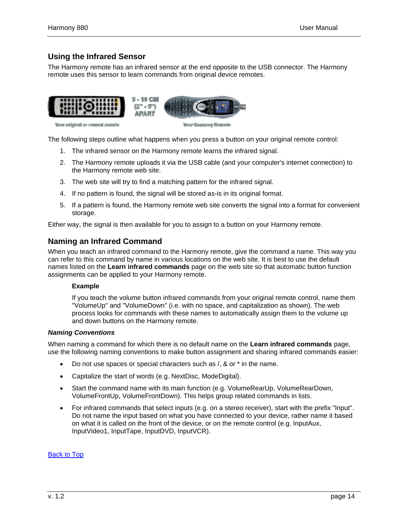# <span id="page-13-0"></span>**Using the Infrared Sensor**

The Harmony remote has an infrared sensor at the end opposite to the USB connector. The Harmony remote uses this sensor to learn commands from original device remotes.



The following steps outline what happens when you press a button on your original remote control:

- 1. The infrared sensor on the Harmony remote learns the infrared signal.
- 2. The Harmony remote uploads it via the USB cable (and your computer's internet connection) to the Harmony remote web site.
- 3. The web site will try to find a matching pattern for the infrared signal.
- 4. If no pattern is found, the signal will be stored as-is in its original format.
- 5. If a pattern is found, the Harmony remote web site converts the signal into a format for convenient storage.

Either way, the signal is then available for you to assign to a button on your Harmony remote.

## **Naming an Infrared Command**

When you teach an infrared command to the Harmony remote, give the command a name. This way you can refer to this command by name in various locations on the web site. It is best to use the default names listed on the **Learn infrared commands** page on the web site so that automatic button function assignments can be applied to your Harmony remote.

## **Example**

If you teach the volume button infrared commands from your original remote control, name them "VolumeUp" and "VolumeDown" (i.e. with no space, and capitalization as shown). The web process looks for commands with these names to automatically assign them to the volume up and down buttons on the Harmony remote.

#### *Naming Conventions*

When naming a command for which there is no default name on the **Learn infrared commands** page, use the following naming conventions to make button assignment and sharing infrared commands easier:

- Do not use spaces or special characters such as /, & or \* in the name.
- Capitalize the start of words (e.g. NextDisc, ModeDigital).
- Start the command name with its main function (e.g. VolumeRearUp, VolumeRearDown, VolumeFrontUp, VolumeFrontDown). This helps group related commands in lists.
- For infrared commands that select inputs (e.g. on a stereo receiver), start with the prefix "Input". Do not name the input based on what you have connected to your device, rather name it based on what it is called on the front of the device, or on the remote control (e.g. InputAux, InputVideo1, InputTape, InputDVD, InputVCR).